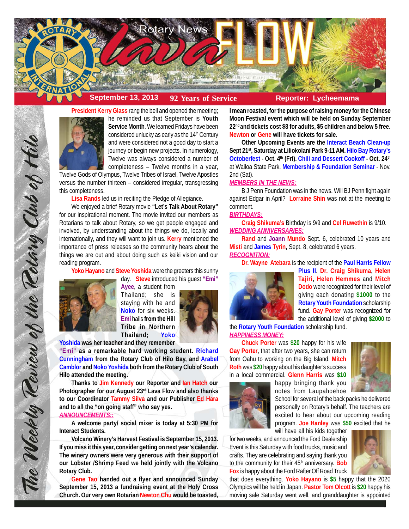

# **September 13, 2013 92 Years of Service Reporter: Lycheemama**



**Service Month**. We learned Fridays have been considered unlucky as early as the 14<sup>th</sup> Century and were considered not a good day to start a journey or begin new projects. In numerology, Twelve was always considered a number of completeness – Twelve months in a year,

Twelve Gods of Olympus, Twelve Tribes of Israel, Twelve Apostles versus the number thirteen – considered irregular, transgressing this completeness.

**Lisa Rands** led us in reciting the Pledge of Allegiance.

We enjoyed a brief Rotary movie **"Let's Talk About Rotary"** for our inspirational moment. The movie invited our members as Rotarians to talk about Rotary, so we get people engaged and involved, by understanding about the things we do, locally and internationally, and they will want to join us. **Kerry** mentioned the importance of press releases so the community hears about the things we are out and about doing such as keiki vision and our reading program.

**Yoko Hayano** and **Steve Yoshida** were the greeters this sunny



The Weekly Review of the Retary Club of Hil

**Ayee**, a student from Thailand; she is staying with he and **Noko** for six weeks. **Emi** hails **from the Hill Tribe in Northern Thailand; Yoko**



**Yoshida was her teacher and they remember**

**"Emi" as a remarkable hard working student. Richard Cunningham from the Rotary Club of Hilo Bay, and Arabel Camblor and Noko Yoshida both from the Rotary Club of South Hilo attended the meeting.**

**Thanks to Jim Kennedy our Reporter and Ian Hatch our Photographer for our August 23rd Lava Flow and also thanks to our Coordinator Tammy Silva and our Publisher Ed Hara and to all the "on going staff" who say yes.**

# *ANNOUNCEMENTS::*

**A welcome party/ social mixer is today at 5:30 PM for Interact Students.**

**Volcano Winery's Harvest Festival is September 15, 2013. If you miss it this year, consider getting on next year's calendar. The winery owners were very generous with their support of our Lobster /Shrimp Feed we held jointly with the Volcano Rotary Club.**

**Gene Tao handed out a flyer and announced Sunday September 15, 2013 a fundraising event at the Holy Cross Church. Our very own Rotarian Newton Chu would be toasted,** **I mean roasted, for the purpose of raising money for the Chinese Moon Festival event which will be held on Sunday September 22nd and tickets cost \$8 for adults, \$5 children and below 5 free. Newton or Gene will have tickets for sale.**

**Other Upcoming Events are the Interact Beach Clean-up Sept 21st, Saturday at Liliokolani Park 9-11 AM. Hilo Bay Rotary's** Octoberfest - Oct. 4<sup>th</sup> (Fri). Chili and Dessert Cookoff - Oct. 24<sup>th</sup> at Wailoa State Park. **Membership & Foundation Seminar** - Nov. 2nd (Sat).

#### *MEMBERS IN THE NEWS:*

B J Penn Foundation was in the news. Will BJ Penn fight again against Edgar in April? **Lorraine Shin** was not at the meeting to comment.

### *BIRTHDAYS:*

**Craig Shikuma's** Birthday is 9/9 and **Cel Ruwethin** is 9/10. *WEDDING ANNIVERSARIES:*

**Rand** and **Joann Mundo** Sept. 6, celebrated 10 years and **Misti** and **James Tyrin,** Sept. 8, celebrated 6 years.

# *RECOGNITION:*

**Dr. Wayne Atebara** is the recipient of the **Paul Harris Fellow**



**Plus II. Dr. Craig Shikuma, Helen Tajiri, Helen Hemmes** and **Mitch Dodo** were recognized for their level of giving each donating **\$1000** to the **Rotary Youth Foundation** scholarship fund. **Gay Porter** was recognized for the additional level of giving **\$2000** to

the **Rotary Youth Foundation** scholarship fund. *HAPPINESS MONEY:*

**Chuck Porter** was **\$20** happy for his wife **Gay Porter**, that after two years, she can return from Oahu to working on the Big Island. **Mitch Roth** was **\$20** happy about his daughter's success in a local commercial. **Glenn Harris** was **\$10**





School for several of the back packs he delivered personally on Rotary's behalf. The teachers are excited to hear about our upcoming reading program. **Joe Hanley** was **\$50** excited that he

will have all his kids together for two weeks, and announced the Ford Dealership Event is this Saturday with food trucks, music and crafts. They are celebrating and saying thank you to the community for their 45<sup>th</sup> anniversary. Bob **Fox** is happy about the Ford Rafter Off Road Truck



that does everything. **Yoko Hayano** is **\$5** happy that the 2020 Olympics will be held in Japan. **Pastor Tom Olcott** is **\$20** happy his moving sale Saturday went well, and granddaughter is appointed

day. **Steve** introduced his guest **"Emi"**